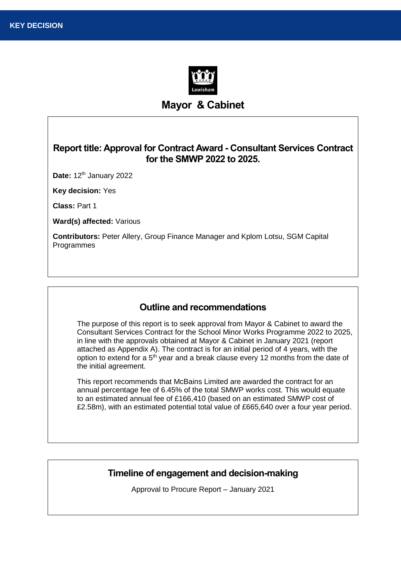

# **Mayor & Cabinet**

# **Report title: Approval for Contract Award - Consultant Services Contract for the SMWP 2022 to 2025.**

**Date:** 12th January 2022

**Key decision:** Yes

**Class:** Part 1

**Ward(s) affected:** Various

**Contributors:** Peter Allery, Group Finance Manager and Kplom Lotsu, SGM Capital Programmes

## **Outline and recommendations**

The purpose of this report is to seek approval from Mayor & Cabinet to award the Consultant Services Contract for the School Minor Works Programme 2022 to 2025, in line with the approvals obtained at Mayor & Cabinet in January 2021 (report attached as Appendix A). The contract is for an initial period of 4 years, with the option to extend for a 5<sup>th</sup> year and a break clause every 12 months from the date of the initial agreement.

This report recommends that McBains Limited are awarded the contract for an annual percentage fee of 6.45% of the total SMWP works cost. This would equate to an estimated annual fee of £166,410 (based on an estimated SMWP cost of £2.58m), with an estimated potential total value of £665,640 over a four year period.

## **Timeline of engagement and decision-making**

Approval to Procure Report – January 2021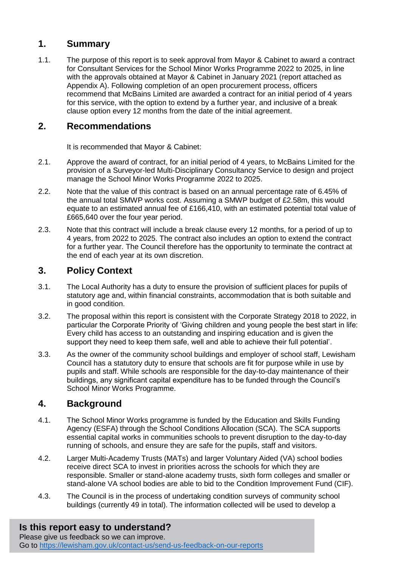# **1. Summary**

1.1. The purpose of this report is to seek approval from Mayor & Cabinet to award a contract for Consultant Services for the School Minor Works Programme 2022 to 2025, in line with the approvals obtained at Mayor & Cabinet in January 2021 (report attached as Appendix A). Following completion of an open procurement process, officers recommend that McBains Limited are awarded a contract for an initial period of 4 years for this service, with the option to extend by a further year, and inclusive of a break clause option every 12 months from the date of the initial agreement.

# **2. Recommendations**

It is recommended that Mayor & Cabinet:

- 2.1. Approve the award of contract, for an initial period of 4 years, to McBains Limited for the provision of a Surveyor-led Multi-Disciplinary Consultancy Service to design and project manage the School Minor Works Programme 2022 to 2025.
- 2.2. Note that the value of this contract is based on an annual percentage rate of 6.45% of the annual total SMWP works cost. Assuming a SMWP budget of £2.58m, this would equate to an estimated annual fee of £166,410, with an estimated potential total value of £665,640 over the four year period.
- 2.3. Note that this contract will include a break clause every 12 months, for a period of up to 4 years, from 2022 to 2025. The contract also includes an option to extend the contract for a further year. The Council therefore has the opportunity to terminate the contract at the end of each year at its own discretion.

# **3. Policy Context**

- 3.1. The Local Authority has a duty to ensure the provision of sufficient places for pupils of statutory age and, within financial constraints, accommodation that is both suitable and in good condition.
- 3.2. The proposal within this report is consistent with the Corporate Strategy 2018 to 2022, in particular the Corporate Priority of 'Giving children and young people the best start in life: Every child has access to an outstanding and inspiring education and is given the support they need to keep them safe, well and able to achieve their full potential'.
- 3.3. As the owner of the community school buildings and employer of school staff, Lewisham Council has a statutory duty to ensure that schools are fit for purpose while in use by pupils and staff. While schools are responsible for the day-to-day maintenance of their buildings, any significant capital expenditure has to be funded through the Council's School Minor Works Programme.

# **4. Background**

- 4.1. The School Minor Works programme is funded by the Education and Skills Funding Agency (ESFA) through the School Conditions Allocation (SCA). The SCA supports essential capital works in communities schools to prevent disruption to the day-to-day running of schools, and ensure they are safe for the pupils, staff and visitors.
- 4.2. Larger Multi-Academy Trusts (MATs) and larger Voluntary Aided (VA) school bodies receive direct SCA to invest in priorities across the schools for which they are responsible. Smaller or stand-alone academy trusts, sixth form colleges and smaller or stand-alone VA school bodies are able to bid to the Condition Improvement Fund (CIF).
- 4.3. The Council is in the process of undertaking condition surveys of community school buildings (currently 49 in total). The information collected will be used to develop a

# **Is this report easy to understand?**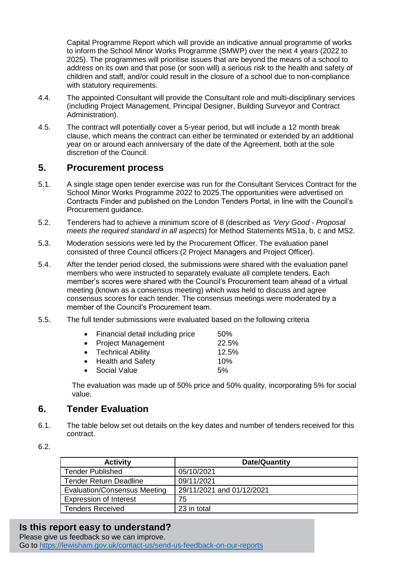Capital Programme Report which will provide an indicative annual programme of works to inform the School Minor Works Programme (SMWP) over the next 4 years (2022 to 2025). The programmes will prioritise issues that are beyond the means of a school to address on its own and that pose (or soon will) a serious risk to the health and safety of children and staff, and/or could result in the closure of a school due to non-compliance with statutory requirements.

- 4.4. The appointed Consultant will provide the Consultant role and multi-disciplinary services (including Project Management, Principal Designer, Building Surveyor and Contract Administration).
- 4.5. The contract will potentially cover a 5-year period, but will include a 12 month break clause, which means the contract can either be terminated or extended by an additional year on or around each anniversary of the date of the Agreement, both at the sole discretion of the Council.

## **5. Procurement process**

- 5.1. A single stage open tender exercise was run for the Consultant Services Contract for the School Minor Works Programme 2022 to 2025.The opportunities were advertised on Contracts Finder and published on the London Tenders Portal, in line with the Council's Procurement guidance.
- 5.2. Tenderers had to achieve a minimum score of 8 (described as *'Very Good - Proposal meets the required standard in all aspects*) for Method Statements MS1a, b, c and MS2.
- 5.3. Moderation sessions were led by the Procurement Officer. The evaluation panel consisted of three Council officers (2 Project Managers and Project Officer).
- 5.4. After the tender period closed, the submissions were shared with the evaluation panel members who were instructed to separately evaluate all complete tenders. Each member's scores were shared with the Council's Procurement team ahead of a virtual meeting (known as a consensus meeting) which was held to discuss and agree consensus scores for each tender. The consensus meetings were moderated by a member of the Council's Procurement team.
- 5.5. The full tender submissions were evaluated based on the following criteria

| • Financial detail including price | 50%   |
|------------------------------------|-------|
| • Project Management               | 22.5% |
| • Technical Ability                | 12.5% |
| • Health and Safety                | 10%   |
| • Social Value                     | 5%    |

The evaluation was made up of 50% price and 50% quality, incorporating 5% for social value.

# **6. Tender Evaluation**

- 6.1. The table below set out details on the key dates and number of tenders received for this contract.
- 6.2.

| <b>Activity</b>               | Date/Quantity             |
|-------------------------------|---------------------------|
| <b>Tender Published</b>       | 05/10/2021                |
| <b>Tender Return Deadline</b> | 09/11/2021                |
| Evaluation/Consensus Meeting  | 29/11/2021 and 01/12/2021 |
| <b>Expression of Interest</b> | 75                        |
| <b>Tenders Received</b>       | 23 in total               |

## **Is this report easy to understand?**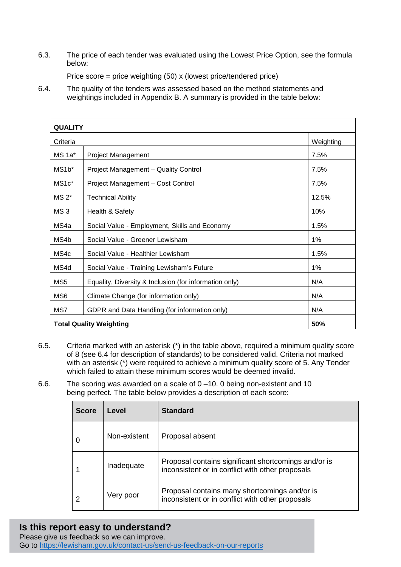6.3. The price of each tender was evaluated using the Lowest Price Option, see the formula below:

Price score = price weighting (50) x (lowest price/tendered price)

6.4. The quality of the tenders was assessed based on the method statements and weightings included in Appendix B. A summary is provided in the table below:

| <b>QUALITY</b>     |                                                        |           |  |  |
|--------------------|--------------------------------------------------------|-----------|--|--|
| Criteria           |                                                        | Weighting |  |  |
| $MS$ 1a*           | <b>Project Management</b>                              | 7.5%      |  |  |
| MS1b*              | Project Management - Quality Control                   | 7.5%      |  |  |
| MS <sub>1</sub> c* | Project Management - Cost Control                      | 7.5%      |  |  |
| $MS 2*$            | <b>Technical Ability</b>                               | 12.5%     |  |  |
| MS <sub>3</sub>    | Health & Safety                                        | 10%       |  |  |
| MS4a               | Social Value - Employment, Skills and Economy          | 1.5%      |  |  |
| MS4b               | Social Value - Greener Lewisham                        | 1%        |  |  |
| MS4c               | Social Value - Healthier Lewisham                      | 1.5%      |  |  |
| MS4d               | Social Value - Training Lewisham's Future              | 1%        |  |  |
| MS <sub>5</sub>    | Equality, Diversity & Inclusion (for information only) | N/A       |  |  |
| MS <sub>6</sub>    | Climate Change (for information only)                  | N/A       |  |  |
| MS7                | GDPR and Data Handling (for information only)<br>N/A   |           |  |  |
|                    | <b>Total Quality Weighting</b><br>50%                  |           |  |  |

- 6.5. Criteria marked with an asterisk (\*) in the table above, required a minimum quality score of 8 (see 6.4 for description of standards) to be considered valid. Criteria not marked with an asterisk (\*) were required to achieve a minimum quality score of 5. Any Tender which failed to attain these minimum scores would be deemed invalid.
- 6.6. The scoring was awarded on a scale of 0 –10. 0 being non-existent and 10 being perfect. The table below provides a description of each score:

| <b>Score</b> | Level        | <b>Standard</b>                                                                                          |
|--------------|--------------|----------------------------------------------------------------------------------------------------------|
|              | Non-existent | Proposal absent                                                                                          |
|              | Inadequate   | Proposal contains significant shortcomings and/or is<br>inconsistent or in conflict with other proposals |
|              | Very poor    | Proposal contains many shortcomings and/or is<br>inconsistent or in conflict with other proposals        |

# **Is this report easy to understand?**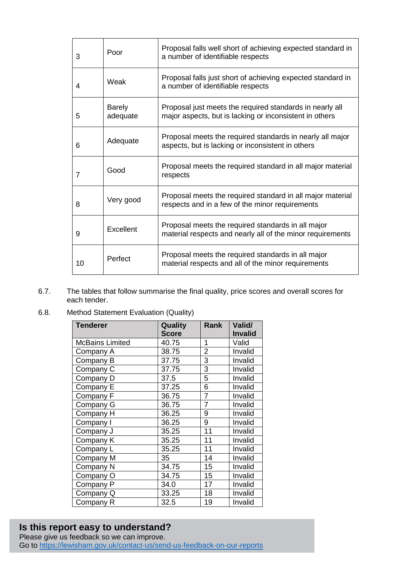| 3  | Poor                      | Proposal falls well short of achieving expected standard in<br>a number of identifiable respects                    |
|----|---------------------------|---------------------------------------------------------------------------------------------------------------------|
| 4  | Weak                      | Proposal falls just short of achieving expected standard in<br>a number of identifiable respects                    |
| 5  | <b>Barely</b><br>adequate | Proposal just meets the required standards in nearly all<br>major aspects, but is lacking or inconsistent in others |
| 6  | Adequate                  | Proposal meets the required standards in nearly all major<br>aspects, but is lacking or inconsistent in others      |
| 7  | Good                      | Proposal meets the required standard in all major material<br>respects                                              |
| 8  | Very good                 | Proposal meets the required standard in all major material<br>respects and in a few of the minor requirements       |
| 9  | Excellent                 | Proposal meets the required standards in all major<br>material respects and nearly all of the minor requirements    |
| 10 | Perfect                   | Proposal meets the required standards in all major<br>material respects and all of the minor requirements           |

- 6.7. The tables that follow summarise the final quality, price scores and overall scores for each tender.
- 6.8. Method Statement Evaluation (Quality)

| <b>Tenderer</b>        | Quality      | Rank           | Valid/         |
|------------------------|--------------|----------------|----------------|
|                        | <b>Score</b> |                | <b>Invalid</b> |
| <b>McBains Limited</b> | 40.75        | 1              | Valid          |
| Company A              | 38.75        | 2              | Invalid        |
| Company B              | 37.75        | 3              | Invalid        |
| Company C              | 37.75        | 3              | Invalid        |
| Company D              | 37.5         | 5              | Invalid        |
| Company E              | 37.25        | 6              | Invalid        |
| Company F              | 36.75        | 7              | Invalid        |
| Company G              | 36.75        | $\overline{7}$ | Invalid        |
| Company H              | 36.25        | 9              | Invalid        |
| Company I              | 36.25        | 9              | Invalid        |
| Company J              | 35.25        | 11             | Invalid        |
| Company K              | 35.25        | 11             | Invalid        |
| Company L              | 35.25        | 11             | Invalid        |
| Company M              | 35           | 14             | Invalid        |
| Company N              | 34.75        | 15             | Invalid        |
| Company O              | 34.75        | 15             | Invalid        |
| Company P              | 34.0         | 17             | Invalid        |
| Company Q              | 33.25        | 18             | Invalid        |
| Company R              | 32.5         | 19             | Invalid        |

# **Is this report easy to understand?**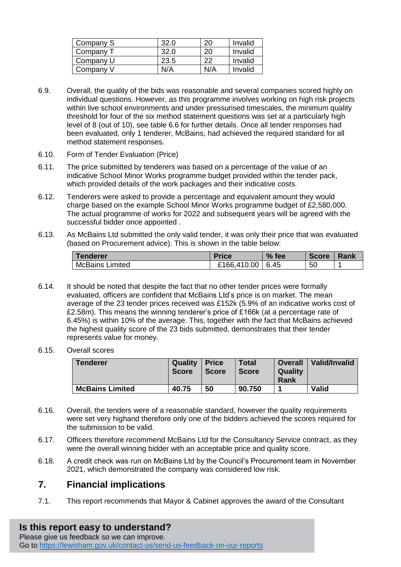| Company S | 32.0 |     | Invalid |
|-----------|------|-----|---------|
| Company 7 | 32.0 |     | Invalid |
| Company U | 23.5 |     | Invalid |
| Company V | N/A  | N/A | Invalid |

- 6.9. Overall, the quality of the bids was reasonable and several companies scored highly on individual questions. However, as this programme involves working on high risk projects within live school environments and under pressurised timescales, the minimum quality threshold for four of the six method statement questions was set at a particularly high level of 8 (out of 10), see table 6.6 for further details. Once all tender responses had been evaluated, only 1 tenderer, McBains, had achieved the required standard for all method statement responses.
- 6.10. Form of Tender Evaluation (Price)
- 6.11. The price submitted by tenderers was based on a percentage of the value of an indicative School Minor Works programme budget provided within the tender pack, which provided details of the work packages and their indicative costs.
- 6.12. Tenderers were asked to provide a percentage and equivalent amount they would charge based on the example School Minor Works programme budget of £2,580,000. The actual programme of works for 2022 and subsequent years will be agreed with the successful bidder once appointed .
- 6.13. As McBains Ltd submitted the only valid tender, it was only their price that was evaluated (based on Procurement advice). This is shown in the table below:

| <b>Tenderer</b>        | <b>Price</b>       | $%$ fee | <b>Score</b> | Rank |
|------------------------|--------------------|---------|--------------|------|
| <b>McBains Limited</b> | £166,410.00   6.45 |         | 50           |      |

- 6.14. It should be noted that despite the fact that no other tender prices were formally evaluated, officers are confident that McBains Ltd's price is on market. The mean average of the 23 tender prices received was £152k (5.9% of an indicative works cost of £2.58m). This means the winning tenderer's price of £166k (at a percentage rate of 6.45%) is within 10% of the average. This, together with the fact that McBains achieved the highest quality score of the 23 bids submitted, demonstrates that their tender represents value for money.
- 6.15. Overall scores

| <b>Tenderer</b>        | Quality<br><b>Score</b> | ∣ Price<br><b>Score</b> | <b>Total</b><br><b>Score</b> | <b>Quality</b><br>Rank | Overall   Valid/Invalid |
|------------------------|-------------------------|-------------------------|------------------------------|------------------------|-------------------------|
| <b>McBains Limited</b> | 40.75                   | 50                      | 90.750                       |                        | <b>Valid</b>            |

- 6.16. Overall, the tenders were of a reasonable standard, however the quality requirements were set very highand therefore only one of the bidders achieved the scores required for the submission to be valid.
- 6.17. Officers therefore recommend McBains Ltd for the Consultancy Service contract, as they were the overall winning bidder with an acceptable price and quality score.
- 6.18. A credit check was run on McBains Ltd by the Council's Procurement team in November 2021, which demonstrated the company was considered low risk.

## **7. Financial implications**

7.1. This report recommends that Mayor & Cabinet approves the award of the Consultant

## **Is this report easy to understand?**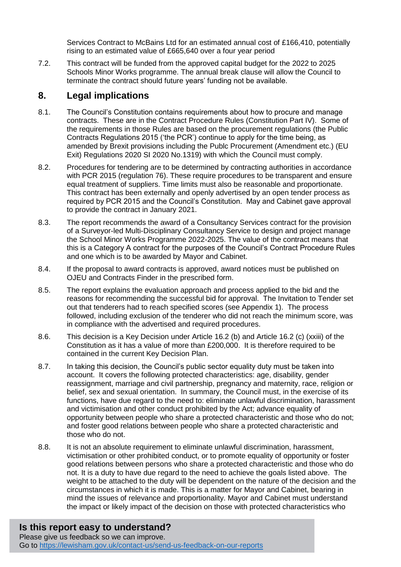Services Contract to McBains Ltd for an estimated annual cost of £166,410, potentially rising to an estimated value of £665,640 over a four year period

7.2. This contract will be funded from the approved capital budget for the 2022 to 2025 Schools Minor Works programme. The annual break clause will allow the Council to terminate the contract should future years' funding not be available.

# **8. Legal implications**

- 8.1. The Council's Constitution contains requirements about how to procure and manage contracts. These are in the Contract Procedure Rules (Constitution Part IV). Some of the requirements in those Rules are based on the procurement regulations (the Public Contracts Regulations 2015 ('the PCR') continue to apply for the time being, as amended by Brexit provisions including the Publc Procurement (Amendment etc.) (EU Exit) Regulations 2020 SI 2020 No.1319) with which the Council must comply.
- 8.2. Procedures for tendering are to be determined by contracting authorities in accordance with PCR 2015 (regulation 76). These require procedures to be transparent and ensure equal treatment of suppliers. Time limits must also be reasonable and proportionate. This contract has been externally and openly advertised by an open tender process as required by PCR 2015 and the Council's Constitution. May and Cabinet gave approval to provide the contract in January 2021.
- 8.3. The report recommends the award of a Consultancy Services contract for the provision of a Surveyor-led Multi-Disciplinary Consultancy Service to design and project manage the School Minor Works Programme 2022-2025. The value of the contract means that this is a Category A contract for the purposes of the Council's Contract Procedure Rules and one which is to be awarded by Mayor and Cabinet.
- 8.4. If the proposal to award contracts is approved, award notices must be published on OJEU and Contracts Finder in the prescribed form.
- 8.5. The report explains the evaluation approach and process applied to the bid and the reasons for recommending the successful bid for approval. The Invitation to Tender set out that tenderers had to reach specified scores (see Appendix 1). The process followed, including exclusion of the tenderer who did not reach the minimum score, was in compliance with the advertised and required procedures.
- 8.6. This decision is a Key Decision under Article 16.2 (b) and Article 16.2 (c) (xxiii) of the Constitution as it has a value of more than £200,000. It is therefore required to be contained in the current Key Decision Plan.
- 8.7. In taking this decision, the Council's public sector equality duty must be taken into account. It covers the following protected characteristics: age, disability, gender reassignment, marriage and civil partnership, pregnancy and maternity, race, religion or belief, sex and sexual orientation. In summary, the Council must, in the exercise of its functions, have due regard to the need to: eliminate unlawful discrimination, harassment and victimisation and other conduct prohibited by the Act; advance equality of opportunity between people who share a protected characteristic and those who do not; and foster good relations between people who share a protected characteristic and those who do not.
- 8.8. It is not an absolute requirement to eliminate unlawful discrimination, harassment, victimisation or other prohibited conduct, or to promote equality of opportunity or foster good relations between persons who share a protected characteristic and those who do not. It is a duty to have due regard to the need to achieve the goals listed above. The weight to be attached to the duty will be dependent on the nature of the decision and the circumstances in which it is made. This is a matter for Mayor and Cabinet, bearing in mind the issues of relevance and proportionality. Mayor and Cabinet must understand the impact or likely impact of the decision on those with protected characteristics who

# **Is this report easy to understand?**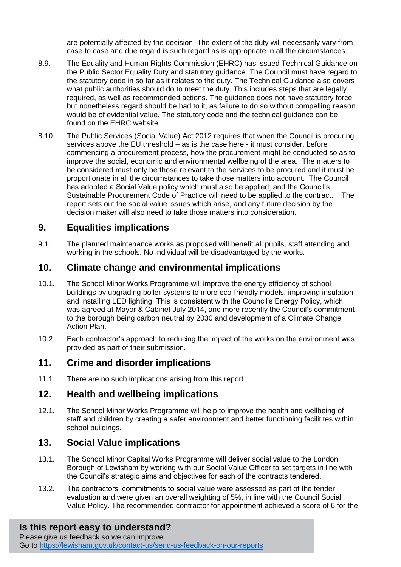are potentially affected by the decision. The extent of the duty will necessarily vary from case to case and due regard is such regard as is appropriate in all the circumstances.

- 8.9. The Equality and Human Rights Commission (EHRC) has issued Technical Guidance on the Public Sector Equality Duty and statutory guidance. The Council must have regard to the statutory code in so far as it relates to the duty. The Technical Guidance also covers what public authorities should do to meet the duty. This includes steps that are legally required, as well as recommended actions. The guidance does not have statutory force but nonetheless regard should be had to it, as failure to do so without compelling reason would be of evidential value. The statutory code and the technical guidance can be found on the EHRC website
- 8.10. The Public Services (Social Value) Act 2012 requires that when the Council is procuring services above the EU threshold – as is the case here - it must consider, before commencing a procurement process, how the procurement might be conducted so as to improve the social, economic and environmental wellbeing of the area. The matters to be considered must only be those relevant to the services to be procured and it must be proportionate in all the circumstances to take those matters into account. The Council has adopted a Social Value policy which must also be applied; and the Council's Sustainable Procurement Code of Practice will need to be applied to the contract. The report sets out the social value issues which arise, and any future decision by the decision maker will also need to take those matters into consideration.

# **9. Equalities implications**

9.1. The planned maintenance works as proposed will benefit all pupils, staff attending and working in the schools. No individual will be disadvantaged by the works.

#### **10. Climate change and environmental implications**

- 10.1. The School Minor Works Programme will improve the energy efficiency of school buildings by upgrading boiler systems to more eco-friendly models, improving insulation and installing LED lighting. This is consistent with the Council's Energy Policy, which was agreed at Mayor & Cabinet July 2014, and more recently the Council's commitment to the borough being carbon neutral by 2030 and development of a Climate Change Action Plan.
- 10.2. Each contractor's approach to reducing the impact of the works on the environment was provided as part of their submission.

## **11. Crime and disorder implications**

11.1. There are no such implications arising from this report

## **12. Health and wellbeing implications**

12.1. The School Minor Works Programme will help to improve the health and wellbeing of staff and children by creating a safer environment and better functioning facilitites within school buildings.

# **13. Social Value implications**

- 13.1. The School Minor Capital Works Programme will deliver social value to the London Borough of Lewisham by working with our Social Value Officer to set targets in line with the Council's strategic aims and objectives for each of the contracts tendered.
- 13.2. The contractors' commitments to social value were assessed as part of the tender evaluation and were given an overall weighting of 5%, in line with the Council Social Value Policy. The recommended contractor for appointment achieved a score of 6 for the

## **Is this report easy to understand?**